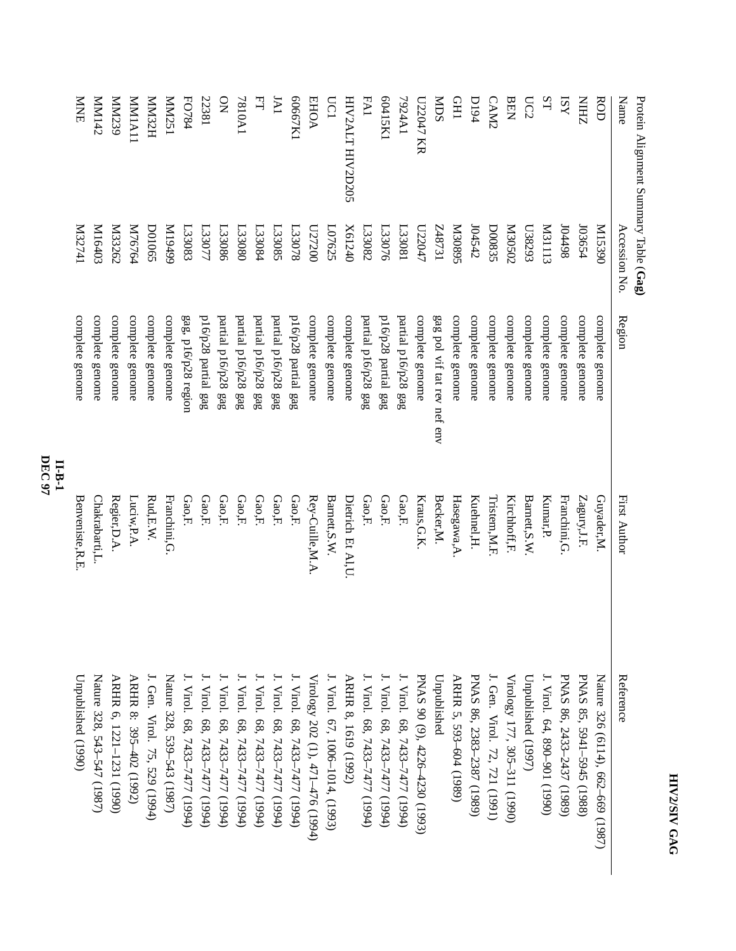| Protein Alignment Summary Table (Gag) |               |                             |                    |                                   |
|---------------------------------------|---------------|-----------------------------|--------------------|-----------------------------------|
| Name                                  | Accession No. | Region                      | First Author       | Reference                         |
| <b>ROD</b>                            | 06£51M        | complete genome             | Guyader,M.         | Nature 326 (6114), 662–669 (1987) |
| <b>ZHIN</b>                           | 103654        | complete genome             | Zagury,J.F.        | PNAS 85, 5941-5945 (1988)         |
| KSI                                   | 86tt0I        | complete genome             | Franchini, G.      | PNAS 86, 2433-2437 (1989)         |
| ST                                    | <b>M31113</b> | complete genome             | Kumar, P.          | J. Virol. 64, 890-901 (1990)      |
| UC2                                   | L38293        | complete genome             | Barnett, S.W       | Unpublished (1997)                |
| <b>BEN</b>                            | Z0S020        | complete genome             | Kirchhoff, F.      | Virology 177, 305-311 (1990)      |
| CAM2                                  | D00835        | complete genome             | Tristem, M.F.      | J. Gen. Virol. 72, 721 (1991)     |
| <b>D194</b>                           | 104542        | complete genome             | Kuehnel, H.        | PNAS 86, 2383-2387 (1989)         |
| <b>CHI</b>                            | S680EM        | complete genome             | Hasegawa, A        | ARHR 5, 593-604 (1989)            |
| <b>NDS</b>                            | L248731       | gag pol vif tat rev nef env | Becker, M.         | Unpublished                       |
| U22047 KR                             | L22047        | complete genome             | Kraus, G.K.        | PNAS 90 (9), 4226-4230 (1993)     |
| TA4A1                                 | L33081        | partial p16/p28 gag         | Gao,F.             | J. Virol. 68, 7433–7477 (1994)    |
| f2115K1                               | L33076        | p16/p28 partial gag         | Gao,F.             | J. Virol. 68, 7433–7477 (1994)    |
| <b>FA1</b>                            | L33082        | partial p16/p28 gag         | Gao,F.             | J. Virol. 68, 7433–7477 (1994)    |
| HIV2ALT HIV2D205                      | X61240        | complete genome             | Dietrich Et Al, U. | ARHR 8, 1619 (1992)               |
| <b>DC1</b>                            | L07625        | complete genome             | Barnett, S.W.      | J. Virol. 67, 1006-1014, (1993)   |
| <b>EHOA</b>                           | 027200        | complete genome             | Rey-Cuille, M.A    | Virology 202 (1), 471-476 (1994)  |
| <b>60667K1</b>                        | L33078        | p16/p28 partial gag         | Gao,F.             | J. Virol. 68, 7433–7477 (1994)    |
| JAI                                   | L33085        | partial p16/p28 gag         | Gao,F.             | J. Virol. 68, 7433-7477 (1994)    |
| 뇌                                     | L33084        | partial p16/p28 gag         | Gao,F.             | J. Virol. 68, 7433–7477 (1994)    |
| <b>IA0187</b>                         | L33080        | partial p16/p28 gag         | Gao,F.             | J. Virol. 68, 7433–7477 (1994)    |
| $\mathsf{S}^{\mathsf{O}}$             | L33086        | partial p16/p28 gag         | Gao,F.             | J. Virol. 68, 7433–7477 (1994)    |
| 22381                                 | L23077        | p16/p28 partial gag         | Gao,F.             | J. Virol. 68, 7433–7477 (1994)    |
| FO784                                 | L33083        | gag, p16/p28 region         | Gao,F.             | J. Virol. 68, 7433–7477 (1994)    |
| ISZNNN                                | 66t6 I M      | complete genome             | Franchini, G.      | Nature 328, 539–543 (1987)        |
| HZENIN                                | <b>D01065</b> | complete genome             | Rud, E.W.          | J. Gen. Virol. 75, 529 (1994)     |
| <b>MMIA11</b>                         | M76764        | complete genome             | Luciw, P.A         | ARHR 8: 395-402 (1992)            |
| MM239                                 | <b>M33262</b> | complete genome             | Regier, D.A.       | ARHR 6, 1221-1231 (1990)          |
| Zt <sub>I</sub> MM                    | K16403        | complete genome             | Chakrabarti,L.     | Nature 328, 543-547 (1987)        |
| <b>NNKE</b>                           | IFZZEN        | complete genome             | Benveniste, R.E    | Unpublished (1990)                |
|                                       |               |                             |                    |                                   |

**II-B-1 DEC 97**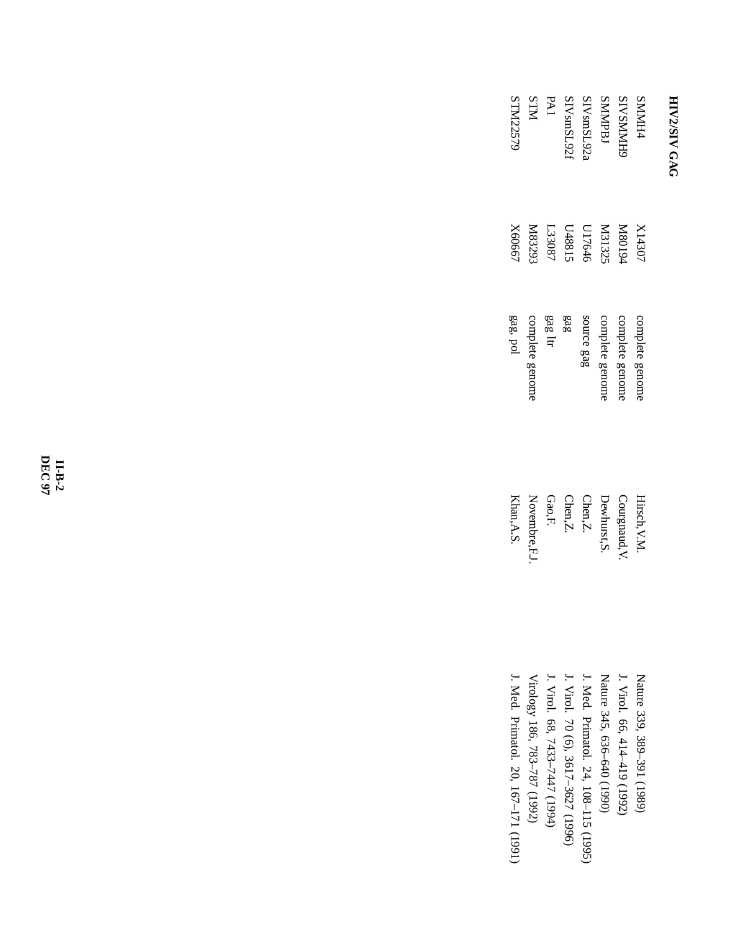| <b>SMMH44</b>          | X14307 | complete genom | Hirsch, V.M            |
|------------------------|--------|----------------|------------------------|
| <b>SIVSMMH</b>         | P6108N | complete genom | Courgnaud, V.          |
| <b>SMMPBJ</b>          | M31325 | complete genom | Dewhurst, S            |
| SIV <sub>smSL92</sub>  | U17646 | source gag     | $Chen, Z$ .            |
| SIV <sub>sm</sub> SL92 | 148815 | 383            | $Chen, Z$ .            |
| PAI                    | L33087 | gag ltr        | $\operatorname{Gao,F}$ |
| <b>NLIS</b>            | XI8329 | complete genom | Novembre, F.,          |
| STM2257                | X6066. | gag, pol       | Khan, A.S.             |

 J. Med. Primatol. 20, 167–171 (1991) Virology 186, 783–787 (1992) J. Virol. 68, 7433–7447 (1994) J. Virol. 70 (6), 3617–3627 (1996) J. Med. Primatol. 24, 108–115 (1995) Nature 345, 636–640 (1990) J. Virol. 66, 414–419 (1992) Nature 339, 389–391 (1989)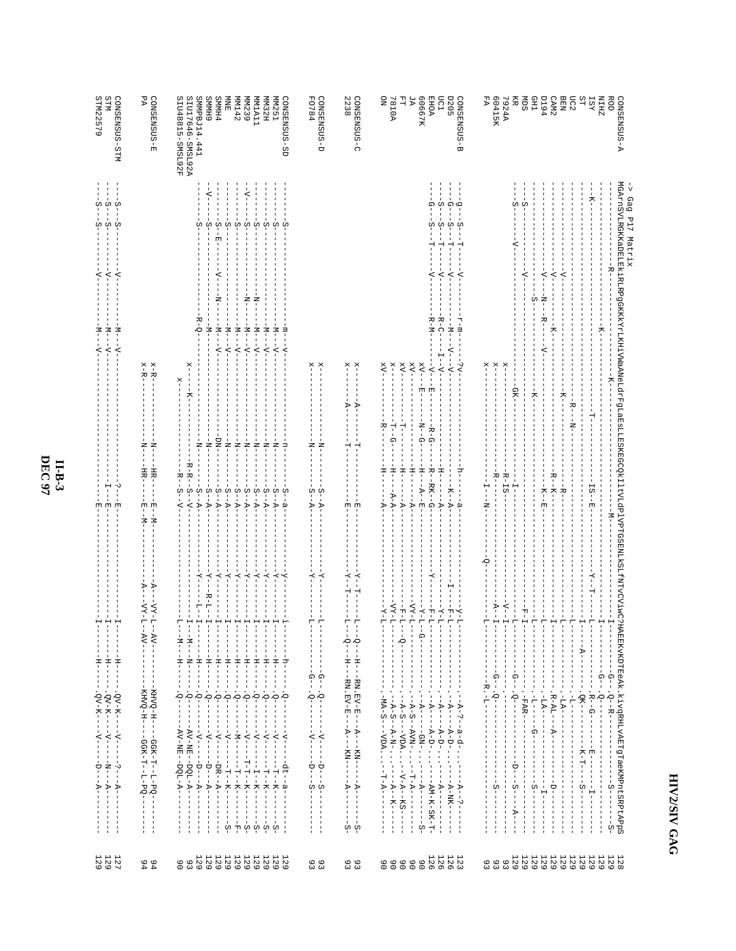#### $\begin{bmatrix} 1 & 1 \\ 1 & 1 \end{bmatrix}$  $\begin{array}{c|c|c|c|c} & 1 & 1 & 1 & 1 & 1 & 1 & 1 & 1 \\ \hline \hline \begin{matrix} 1 & 1 & 1 & 1 & 1 & 1 & 1 & 1 \\ 1 & 1 & 1 & 1 & 1 & 1 & 1 & 1 \\ 1 & 1 & 1 & 1 & 1 & 1 & 1 & 1 \\ 1 & 1 & 1 & 1 & 1 & 1 & 1 & 1 \\ 1 & 1 & 1 & 1 & 1 & 1 & 1 & 1 \\ \end{matrix} \end{array}$  $\begin{array}{l} \mathcal{R}_{1}(\mathbf{X})=\mathcal{R}_{2}(\mathbf{X})=\mathcal{R}_{1}(\mathbf{X})=\mathcal{R}_{2}(\mathbf{X})=\mathcal{R}_{1}(\mathbf{X})=\mathcal{R}_{2}(\mathbf{X})=\mathcal{R}_{1}(\mathbf{X})=\mathcal{R}_{2}(\mathbf{X})=\mathcal{R}_{2}(\mathbf{X})=\mathcal{R}_{2}(\mathbf{X})=\mathcal{R}_{2}(\mathbf{X})=\mathcal{R}_{2}(\mathbf{X})=\mathcal{R}_{2}(\mathbf{X})=\mathcal{R}_{2}(\mathbf{X})=\mathcal{R}_{2}(\mathbf{X})=\mathcal$ HH  $\begin{array}{c} 1 & 1 & 1 \\ 0 & 0 & 0 \\ 1 & 1 & 1 \end{array}$  $\begin{aligned} &\mathcal{P}_{1} \rightarrow 2\rightarrow \cdots &\mathcal{P}_{n-1} \rightarrow 2\rightarrow \cdots &\mathcal{P}_{n-1} \rightarrow 2\rightarrow \cdots &\mathcal{P}_{n-1} \rightarrow 2\rightarrow \cdots &\mathcal{P}_{n-1} \rightarrow 2\rightarrow \cdots &\mathcal{P}_{n-1} \rightarrow 2\rightarrow \cdots &\mathcal{P}_{n-1} \rightarrow 2\rightarrow \cdots &\mathcal{P}_{n-1} \rightarrow 2\rightarrow \cdots &\mathcal{P}_{n-1} \rightarrow 2\rightarrow \cdots &\mathcal{P}_{n-1} \rightarrow 2\rightarrow \cdots &\mathcal{P}_{n-1} \rightarrow 2\rightarrow$ Ť  $\frac{1}{1}$  $\begin{array}{c} \begin{array}{c} \begin{array}{c} \begin{array}{c} \end{array} \\ \begin{array}{c} \end{array} \end{array} \end{array} \end{array}$ ÷i  $\stackrel{-}{<} \stackrel{+}{<} \stackrel{-}{<}$  $\begin{array}{c}\n - & - \\
 - & - \\
 - & - \\
 \end{array}$  $\begin{split} \mathcal{L}_1 = & -\mathbf{H}_1 - \mathbf{H}_2 - \mathbf{H}_3 - \mathbf{H}_4 - \mathbf{H}_5 - \mathbf{H}_6 - \mathbf{H}_7 - \mathbf{H}_7 - \mathbf{H}_8 - \mathbf{H}_9 - \mathbf{H}_9 - \mathbf{H}_9 - \mathbf{H}_9 - \mathbf{H}_9 - \mathbf{H}_9 - \mathbf{H}_9 - \mathbf{H}_9 - \mathbf{H}_9 - \mathbf{H}_9 - \mathbf{H}_9 - \mathbf{H}_9 - \mathbf{H}_9 - \mathbf{H}_9 - \mathbf{H}_9 - \mathbf{H}_9 - \mathbf{H$  $\begin{aligned} \mathbf{x} - \mathbf{R} &\mathbf{-} \mathbf{-} \mathbf{-} \\ \mathbf{x} - \mathbf{R} &\mathbf{-} \mathbf{-} \mathbf{-} \end{aligned}$  $X^{\times}$ Ħ  $\begin{split} & \frac{1}{2} \left[ \begin{array}{c} \frac{1}{2} \left( \frac{1}{2} \right) \left( \frac{1}{2} \right) \left( \frac{1}{2} \right) \left( \frac{1}{2} \right) \left( \frac{1}{2} \right) \left( \frac{1}{2} \right) \left( \frac{1}{2} \right) \left( \frac{1}{2} \right) \left( \frac{1}{2} \right) \left( \frac{1}{2} \right) \left( \frac{1}{2} \right) \left( \frac{1}{2} \right) \left( \frac{1}{2} \right) \left( \frac{1}{2} \right) \left( \frac{1}{$ Ħ -<br>1<br>1<br>1<br>1<br>1<br>1<br>1<br>1<br>1<br>1<br>1<br>  $-\mathbf{E} = -\mathbf{N} -$ Ħ  $\begin{array}{c} \begin{array}{c} \begin{array}{c} \begin{array}{c} \end{array} \\ \begin{array}{c} \end{array} \\ \begin{array}{c} \end{array} \\ \begin{array}{c} \end{array} \\ \begin{array}{c} \end{array} \\ \begin{array}{c} \end{array} \\ \begin{array}{c} \end{array} \end{array} \end{array}$  $\frac{1}{2}$  $\begin{split} -\mathsf{A} & = -\mathsf{V} \mathsf{Y} - \mathsf{L} - \mathsf{A} \mathsf{V} - - - - - - - - - \\ -\mathsf{A} & = -\mathsf{V} \mathsf{Y} - \mathsf{L} - \mathsf{A} \mathsf{V} - - - - - - - - - - - \end{split}$  $\begin{aligned} \mathbf{1}_{\{n+1\},n+1\},\mathbf{2}_{\{n+1\},n+1\},\mathbf{2}_{\{n+1\},n+1\},\mathbf{2}_{\{n+1\},n+1\},\mathbf{2}_{\{n+1\},n+1\},\mathbf{2}_{\{n+1\},n+1\},\mathbf{2}_{\{n+1\},n+1\},\mathbf{2}_{\{n+1\},n+1\},\mathbf{2}_{\{n+1\},n+1\},\mathbf{2}_{\{n+1\},n+1\},\mathbf{2}_{\{n+1\},n+1\},\mathbf{2}_{\{n+1\},n+1\$ - - кнуо-н<br>- - кнуо-н<br>- - кнуо-н -GGK-T--T-PQ-<br>-GGK-T--T-PQ-∣ ∪<br>ເປັດປ Ħ Ħ  $\frac{1}{9}$   $\frac{1}{9}$  $1129$ <br>  $1299$ 11111<br>21212199999<br>20000000  $\begin{array}{c} 0 \\ 4 \end{array}$ 99<br>99 9 9<br>9 9

 $\begin{array}{ll} {\text{\small\small QONSE}} \\ {\text{\small\small Q以S}} \\ {\text{\small\small QHO}} \\ {\text{\small\small QHO}} \\ {\text{\small QHO}} \\ {\text{\small QHO}} \\ {\text{\small QH}} \\ {\text{\small QH}} \\ {\text{\small QH}} \\ {\text{\small QH}} \\ {\text{\small QH}} \\ {\text{\small QH}} \\ {\text{\small QH}} \\ {\text{\small QH}} \\ {\text{\small QH}} \\ {\text{\small QH}} \\ {\text{\small QH}} \\ {\text{\small QH}} \\ {\text{\small QH}} \\ {\text{\small QH}} \\ {\text{\small QH}} \\ {\text{\small QH}} \\ {\text{\small QH}} \\ {\text{\small QH}} \\ {\text{\small QH}} \\ {\text{\$ 

CONSENSUS-C<br>2238

CONSENSUS-D<br>FO784

RRO<br>RESERVED BORD BRANCH<br>CORRESPORT BRANCH<br>CORRESPORT BRANCH<br>RANCH<br>RANCH<br>RANCH<br>RANCH

A-SUSMERSNO

Gag Pl7 Matrix

-> Gag P17 Matrix<br>MGArnSYLRGKKaDELEKiRLRPgGKKKYYLKHiVWaANeLdrFgLaEsLLESKEGCQkIItVLd9PTGSENLKS1LfWTVCViwC7HAEEKvKPTEeAk.kivgRHLvAETgTaeKWPntSRPtAPpS<br>MGArnSYLRGKKaDELEKIRPGGKKKYLKHiVWaANeLdrFgLaEsLLESKEGCQkIItVLdPlFgL=------

DEC 97  $II$ -B-3 CONSENSUS-STM<br>STM<br>STM2 2579

 $\begin{array}{ll} {\tt CONSENSUS-E}\\ {\tt PA} \end{array}$ 

SIUI 7646-SMSL92A<br>SIU48815-SMSL92F

SMMPBJ14.441 **GHININS** 

 $\begin{array}{lcl} {\text{\small\sc CONSEISUS-SD}}\\ {\text{\small\sc PMS}}\\ {\text{\small\sc PMS}}\\ {\text{\small\sc PMS}}\\ {\text{\small\sc PMS}}\\ {\text{\small\sc PMS}}\\ {\text{\small\sc PMS}}\\ {\text{\small\sc PMS}}\\ {\text{\small\sc PMS}}\\ {\text{\small\sc PMS}}\\ {\text{\small\sc PMS}}\\ {\text{\small\sc PMS}}\\ {\text{\small\sc PMS}}\\ {\text{\small\sc PMS}}\\ {\text{\small\sc PMS}}\\ {\text{\small\sc PMS}}\\ {\text{\small\sc PMS}}\\ {\text{\small\sc PMS}}\\ {\text{\small\sc PMS}}\\ {\text{\small\sc PMS}}\\ {\text{\small\sc P$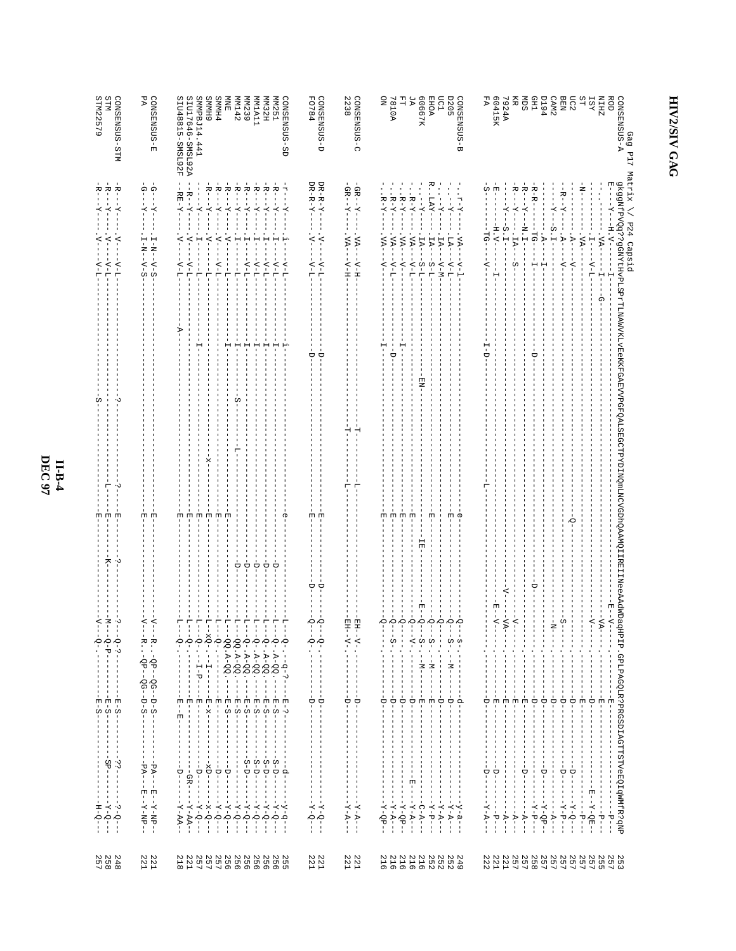| STM<br>CONSENSUS-STM                                                                                          | CONSENSUS-E<br>PA                                          | SIU48815-SMSL92F<br>SMMPBJ14<br>SIU17646-SMSL922<br>6 HMMS                                                                                                                                                                                                          | <b>MM142</b><br><b>SMMH4</b><br>旨<br>MN239                                                                                                                                                                                                                                                                                                                                                                                                                                                                                                                                  | GONSENSUS-SD<br><b>TIVITA</b><br>HZ EMW<br><b>MM251</b>                                                                                                                                                                            | <b>FO784</b><br>CONSENSUS-D                                                                                                                                                                     | CONSENSUS-C<br>2238                                                                                                                                          | ЯZ<br>7810A<br>긥<br>g                                                                                                                                                                                                                                                              | 80667K<br>mc1<br><b>D205</b><br><b>EHOA</b>                                                                                                                                                                                                                                                                                                                                                                                                                                                                                                                                                                     | G-SUSNESNO<br>FA                                                                                                                                     | 60415K<br>7924A                                                                                                                                                                                                             | <b>CHI</b><br>ŠЩ<br>Ë                                                                                                                                                                                            | <b>D194</b><br>CAM <sub>2</sub>                                                                                                          | DC2<br><b>BEN</b>                                                                       | ST<br><b>ZHIN</b><br>ROD<br><b>TST</b>                                                  | A-SUSMENSUS-A<br>Gag                                                                                                                                    |
|---------------------------------------------------------------------------------------------------------------|------------------------------------------------------------|---------------------------------------------------------------------------------------------------------------------------------------------------------------------------------------------------------------------------------------------------------------------|-----------------------------------------------------------------------------------------------------------------------------------------------------------------------------------------------------------------------------------------------------------------------------------------------------------------------------------------------------------------------------------------------------------------------------------------------------------------------------------------------------------------------------------------------------------------------------|------------------------------------------------------------------------------------------------------------------------------------------------------------------------------------------------------------------------------------|-------------------------------------------------------------------------------------------------------------------------------------------------------------------------------------------------|--------------------------------------------------------------------------------------------------------------------------------------------------------------|------------------------------------------------------------------------------------------------------------------------------------------------------------------------------------------------------------------------------------------------------------------------------------|-----------------------------------------------------------------------------------------------------------------------------------------------------------------------------------------------------------------------------------------------------------------------------------------------------------------------------------------------------------------------------------------------------------------------------------------------------------------------------------------------------------------------------------------------------------------------------------------------------------------|------------------------------------------------------------------------------------------------------------------------------------------------------|-----------------------------------------------------------------------------------------------------------------------------------------------------------------------------------------------------------------------------|------------------------------------------------------------------------------------------------------------------------------------------------------------------------------------------------------------------|------------------------------------------------------------------------------------------------------------------------------------------|-----------------------------------------------------------------------------------------|-----------------------------------------------------------------------------------------|---------------------------------------------------------------------------------------------------------------------------------------------------------|
|                                                                                                               |                                                            | 441                                                                                                                                                                                                                                                                 |                                                                                                                                                                                                                                                                                                                                                                                                                                                                                                                                                                             |                                                                                                                                                                                                                                    |                                                                                                                                                                                                 |                                                                                                                                                              |                                                                                                                                                                                                                                                                                    |                                                                                                                                                                                                                                                                                                                                                                                                                                                                                                                                                                                                                 |                                                                                                                                                      |                                                                                                                                                                                                                             |                                                                                                                                                                                                                  |                                                                                                                                          |                                                                                         |                                                                                         | F17                                                                                                                                                     |
| Ŕ,<br>خ<br>ا<br>$\overline{K}$<br>$\overline{K}$<br>く<br>₹                                                    | $-6 - -7$<br>$-7 - 7 - 7$<br>н                             | $R$ – – – $Y$ –<br>$-RE-T$<br>$-K--X-$<br>$\overline{K}$<br>₹<br>$\tilde{\gamma}$<br>$\leq$<br>$\mathbf{H}$                                                                                                                                                         | ÷<br>⊢<br>÷,<br>Ŕ,<br>÷,<br>$\overline{K}$<br>$\overline{K}$<br>$-K-$<br>$\leq$<br>$\prec$<br>Н                                                                                                                                                                                                                                                                                                                                                                                                                                                                             | ÷,<br>$\vec{r}$<br>$\overline{R}$<br>÷<br>⊦<br>$\bar{X}$ –<br>$X - -$<br>$\overline{K}$<br>$\overline{A}$<br>$\overline{K}$                                                                                                        | $DR-RC-Y-$<br>$DR - R - Y -$<br>$\breve{\gamma}$<br>$\tilde{\gamma}$                                                                                                                            | $-Z - X -$<br>$-GB--X$<br>$\Delta A-$<br>$-K$                                                                                                                | $R-X$ .<br>$R-X$ .<br>$-K-K$ -X-<br>$R - Y$<br>$-\nabla\nabla$<br>$\sim$ A $-$<br>$\Delta A -$<br>$\Delta A -$                                                                                                                                                                     | <b>IAY</b><br>$-z-z$ -<br>$-7 -$<br>$X = -$<br>$-5A-$<br>TA-<br>$TA-$<br><b>LA</b>                                                                                                                                                                                                                                                                                                                                                                                                                                                                                                                              | က်<br>$\overline{\Lambda} - \overline{\Lambda}$ .<br>rg-<br>$-54$                                                                                    | 변<br>$\overline{K}$<br>$- H \cdot N -$<br>$S \cdot T -$                                                                                                                                                                     | خ<br>ا<br>$R$ – – – $Y$<br>$R - R -$<br>=¤∙<br>$-17A-$<br>РĠ                                                                                                                                                     | $-5 -$<br>E.E<br>$\ddot{P}$                                                                                                              | $R - Y$<br>$\ddot{A}$<br>$\overline{A}$                                                 | ă<br>-H.V-<br>$-K$<br>$\Delta A$<br>$\frac{1}{1}$                                       | Matrix<br>gkggWfPYQq??9GWYtHvPrTLWAWYKLYBGKKFGAFVVPGFQALSBGCTPYDIMATVCVGDhQAAMQIIRBIIINeeAAdMDaqHPIP.GPLPAGQLR?PRGSDLRGTTTSTV6EQ1FR?PRO<br>/ P24 Capsid |
| $-\Lambda-\Gamma$ .                                                                                           | $I - N - -V - S$<br>$-N--N-S$                              | $-\Lambda$ – T<br>$-\Delta -$<br>ė<br>÷                                                                                                                                                                                                                             | $\Delta$ - $\Gamma$<br>i<br>H<br>٣                                                                                                                                                                                                                                                                                                                                                                                                                                                                                                                                          | $-\Lambda$ -L<br>$-\Delta - \Gamma$ .<br>$-4-1$<br>$-\Delta - I$<br>$\Delta$ - $\Gamma$                                                                                                                                            | $-\Delta-\Gamma$ .<br>$\Delta - 1$                                                                                                                                                              | $-\Delta$ -H<br>$-\mathbf{H}-\mathbf{H}$                                                                                                                     | $-\Delta - 1$<br>$\overline{z}$<br>$-\Lambda$ -<br>$-2$                                                                                                                                                                                                                            | $-\lambda$ <sup>-</sup><br>$-\Delta - 1$ .<br>$S - T$<br>$T-S$                                                                                                                                                                                                                                                                                                                                                                                                                                                                                                                                                  | $-4-1$<br>Ş                                                                                                                                          |                                                                                                                                                                                                                             | w<br>H                                                                                                                                                                                                           | п<br>Ĥ                                                                                                                                   | $-\Delta$ -<br>$-\Delta$ -                                                              | $-\Delta - 1$<br>ଢ଼                                                                     |                                                                                                                                                         |
|                                                                                                               |                                                            |                                                                                                                                                                                                                                                                     | н                                                                                                                                                                                                                                                                                                                                                                                                                                                                                                                                                                           | I.<br>н<br>н                                                                                                                                                                                                                       | Á<br>À                                                                                                                                                                                          |                                                                                                                                                              | ᇦ                                                                                                                                                                                                                                                                                  |                                                                                                                                                                                                                                                                                                                                                                                                                                                                                                                                                                                                                 |                                                                                                                                                      |                                                                                                                                                                                                                             | U                                                                                                                                                                                                                |                                                                                                                                          |                                                                                         |                                                                                         |                                                                                                                                                         |
| ۰v                                                                                                            |                                                            |                                                                                                                                                                                                                                                                     | U.                                                                                                                                                                                                                                                                                                                                                                                                                                                                                                                                                                          |                                                                                                                                                                                                                                    |                                                                                                                                                                                                 | ⊣<br>⊣                                                                                                                                                       |                                                                                                                                                                                                                                                                                    | 핋                                                                                                                                                                                                                                                                                                                                                                                                                                                                                                                                                                                                               |                                                                                                                                                      |                                                                                                                                                                                                                             |                                                                                                                                                                                                                  |                                                                                                                                          |                                                                                         |                                                                                         |                                                                                                                                                         |
|                                                                                                               |                                                            |                                                                                                                                                                                                                                                                     |                                                                                                                                                                                                                                                                                                                                                                                                                                                                                                                                                                             |                                                                                                                                                                                                                                    |                                                                                                                                                                                                 |                                                                                                                                                              |                                                                                                                                                                                                                                                                                    |                                                                                                                                                                                                                                                                                                                                                                                                                                                                                                                                                                                                                 |                                                                                                                                                      |                                                                                                                                                                                                                             |                                                                                                                                                                                                                  |                                                                                                                                          |                                                                                         |                                                                                         |                                                                                                                                                         |
| 団<br>固<br>×<br>٠v                                                                                             | 団<br>固                                                     | 団<br>団<br>団<br>団                                                                                                                                                                                                                                                    | 団<br>固                                                                                                                                                                                                                                                                                                                                                                                                                                                                                                                                                                      |                                                                                                                                                                                                                                    | 固<br>団                                                                                                                                                                                          |                                                                                                                                                              | 団<br>団<br>団<br>団                                                                                                                                                                                                                                                                   | 固<br>団<br>급                                                                                                                                                                                                                                                                                                                                                                                                                                                                                                                                                                                                     | Œ                                                                                                                                                    |                                                                                                                                                                                                                             |                                                                                                                                                                                                                  |                                                                                                                                          | Q                                                                                       |                                                                                         |                                                                                                                                                         |
| ≒<br>≍                                                                                                        |                                                            |                                                                                                                                                                                                                                                                     | ∪<br>p                                                                                                                                                                                                                                                                                                                                                                                                                                                                                                                                                                      | $\frac{1}{\sqrt{2}}$<br>U<br>∪                                                                                                                                                                                                     | ∪<br>σ                                                                                                                                                                                          |                                                                                                                                                              |                                                                                                                                                                                                                                                                                    | 団<br>Ţ<br>$\blacksquare$                                                                                                                                                                                                                                                                                                                                                                                                                                                                                                                                                                                        |                                                                                                                                                      |                                                                                                                                                                                                                             | ᇦ                                                                                                                                                                                                                |                                                                                                                                          |                                                                                         | ロートノー                                                                                   |                                                                                                                                                         |
| ن.<br>ا<br>$-$ - $    -$<br>$-5 - 5 -$<br>$\mathbf{I}$<br>$\blacksquare$<br>$\mathbf{I}$                      | ⊲<br>₹<br>- - R - QP--QG---D-S--<br>- - R - QP--QG---D-S-- | ᡛ<br>투<br>투<br>부                                                                                                                                                                                                                                                    | 부<br>투<br>투<br>두<br>$-\circ$ - $\circ$<br>J.<br>$\blacksquare$<br>$\mathbf{I}$                                                                                                                                                                                                                                                                                                                                                                                                                                                                                              | 투<br>부<br>투<br>두<br>$Q - A - QQ - - - -$<br>-2-.--q-?-----<br>-2-.---q-?------<br>$-4-5-$                                                                                                                                          | Ю<br>Ο-<br>Ť.<br>$\sim 1$<br>$\mathbb{L}$<br>$\overline{\phantom{0}}$                                                                                                                           | 묘<br>묩<br>$-1 - 1 -$<br>$-\lambda$ - $-\lambda$ -<br>$\mathbf{1}$<br>$\mathbf{1}$<br>$1 - 1$<br>$\blacksquare$                                               | Ю<br>Ю<br>000<br>$-1 - 1 - 1$<br>-9<br>-<br>-<br>$\mathbf{I}$<br>$\mathbf{I}$<br>$\mathbf{I}$<br>÷<br>$\mathbb I$<br>$\frac{1}{1}$<br>$\mathbf{I}$<br>$\overline{\phantom{a}}$<br>I.<br>$\mathbf{I}$<br>п<br>-1                                                                    | $\sum_{i=1}^{n}$<br>$\sum_{i=1}^{n}$<br>$\sum_{i=1}^{n}$<br>$\overline{O}$<br>f.<br>$\blacksquare$<br>$-S - - -M - -$<br>$-S-$<br>$S - -M - -N -$<br>п.<br>$\mathbf{I}$<br>÷<br>$\frac{1}{1}$<br>$-M$ -                                                                                                                                                                                                                                                                                                                                                                                                         | Ю<br>j.<br>$\blacksquare$<br>$\frac{5}{1}$<br>$\mathbf{I}$<br>$\mathsf I$<br>$\,$ I<br>-1<br>Ţ<br>$\mathbf{I}$<br>$\mathbf{I}$<br>$\mathbf{I}$       | ∻<br>$\Delta$ .<br>$\blacksquare$<br>$\mathbf{I}$<br>$\mathsf I$<br>$\,$ I                                                                                                                                                  | ₹<br>$\mathbf{I}$<br>$\mathbf I$<br>$\mathbf I$<br>$\mathsf I$                                                                                                                                                   | Z<br>$\,$ I<br>$\mathbf{I}$<br>Ŷ<br>$\,$ l<br>J.                                                                                         | n<br>Ŷ<br>$\mathsf I$<br>$\,$ I<br>J.                                                   | VA-                                                                                     |                                                                                                                                                         |
| $\mathbf{I}$<br>- 1                                                                                           | $\mathbf{I}$<br>л.<br>- 1                                  | 十十<br>$\frac{1}{4}$<br>$\frac{1}{4}$<br>-i<br>$\frac{1}{1}$<br>$\frac{1}{1}$<br>संसंस<br>       <br>       <br>       <br>$\pm 1$<br>$\blacksquare$<br>÷.<br>-1<br>$\mathbb I$<br>Ţ.<br>$\mathbf{I}$<br>$\mathbf{1}$<br>$\blacksquare$<br>$\mathbf{I}$<br>- 1<br>п. | $\sim$ 1<br>$\blacksquare$<br>固<br>$\begin{array}{cccccccccc} \mbox{\bf b} & \mbox{\bf b} & \mbox{\bf b} & \mbox{\bf b} & \mbox{\bf b} & \mbox{\bf b} & \mbox{\bf b} \\ \mbox{\bf c} & \mbox{\bf d} & \mbox{\bf d} & \mbox{\bf d} & \mbox{\bf b} & \mbox{\bf b} \\ \mbox{\bf c} & \mbox{\bf d} & \mbox{\bf d} & \mbox{\bf d} & \mbox{\bf d} & \mbox{\bf d} \\ \mbox{\bf c} & \mbox{\bf d} & \mbox{\bf d} & \mbox{\bf d} & \mbox{\bf d} & \mbox{\bf d} \\ \mbox{\bf c} & \mbox$<br>Ĩ.<br>$\overline{\phantom{a}}$<br>$\mathsf I$<br>$\mathsf I$<br>÷<br>л.<br>$\blacksquare$ | $E-S-----$<br>- 田<br>- し<br>$\mathbf{I}$<br>$\mathsf I$<br>$\mathbf{I}$<br>$\blacksquare$                                                                                                                                          | $\mathbf{I} = \mathbf{I}$<br>$1 - 1$<br>$\begin{array}{c} \n\cdot & \cdot \\ \cdot & \cdot \\ \cdot & \cdot\n\end{array}$<br>Ť.<br>$\mathbf{I}$<br>$1 - 1$<br>1<br>$\mathbf{I}$<br>$\mathbf{1}$ | $\mathbf{I}$<br>- 1<br>$\blacksquare$<br>$\mathbf{I}$<br>Ť.<br>$\mathsf I$<br>$\mathbf{I}$<br>$\mathbf{I}$<br>-1<br>- 11                                     | $\mathbf{I}$<br>т<br>-1<br>$\blacksquare$<br>$\mathbf{I}$<br>$\mathbf{I}$<br>Ĵ.<br>$\mathbf{I}$<br>Τ.<br>$\frac{1}{\Box}$<br>Ŕ<br>Ù<br>p<br>$\frac{1}{1}$<br>$\mathbf{I}$<br>$\mathbb{I}$<br>$\mathsf I$<br>$\mathsf I$<br>$\mathbf{I}$<br>L.<br>$\mathbf{I}$<br>T<br>$\mathbf{I}$ | $\mathbf{I}$<br>$\mathbf{I}$<br>$\mathbf{I}$<br>$\mathbf{I}$<br>$\mathbb{I}$<br>$\blacksquare$<br>$\mathbf{I}$<br>$\frac{1}{\sigma}$<br>Ĵ.<br>$\frac{1}{1}$<br>J.<br>Ü<br>因因<br>Ť<br>Ť<br>$\frac{1}{1}$<br>$\mathsf I$<br>Τ.<br>$\blacksquare$<br>Τ.<br>$\mathbf{I}$<br>$\mathbf{I}$<br>-1<br>1<br>$\mathbf{I}$<br>$\blacksquare$<br>-1<br>$\mathbf{I}$                                                                                                                                                                                                                                                         | -1<br>1<br>-1<br>п.<br>J.<br>$\blacksquare$<br>ά<br>Δ<br>ŧ<br>ł<br>÷.<br>$\mathbf{I}$<br>$\mathbf{I}$<br>$\mathsf I$<br>$\mathbf{I}$<br>1<br>п<br>Τ. | $\frac{1}{4}$<br>$\overline{\phantom{a}}$<br>$\mathbf{I}$<br>$\frac{1}{1}$<br>$\frac{1}{1}$<br>因因<br>$\frac{1}{1}$<br>ŧ<br>$\mathbf{L}$<br>$\mathbf{I}$<br>$\mathbf{I}$<br>$\blacksquare$<br>$\mathbf{I}$<br>$\blacksquare$ | $\mathbf{I}$<br>- 1<br>$\mathbf{I}$<br>- 11<br>$\blacksquare$<br>$\mathbf{I}$<br>- 1<br>固<br>固<br>$\Box$<br>ŧ<br>$\frac{1}{1}$<br>$\mathbf{I}$<br>$\mathbf{I}$<br>$\mathbf{I}$<br>$\mathbf{I}$<br>$\blacksquare$ | j.<br>$\overline{1}$<br>J.<br>$\frac{1}{2}$<br>Ġ<br>$\mathbf{I}$<br>Ť.<br>$\mathbb{I}$<br>$\mathbf{I}$<br>$\overline{\phantom{a}}$<br>-1 | J.<br>Ò<br>ŧ<br>ï<br>$\mathbf I$<br>$\frac{1}{1}$<br>$\overline{\phantom{a}}$<br>$\,$ I | $-1 - 2 - -$<br>$\frac{1}{\sqrt{2}}$<br>-<br>因<br>団<br>$\mathbf{I}$<br>$\mathsf I$<br>- |                                                                                                                                                         |
| $\mathbf{I}$<br>$\blacksquare$<br>$\mathbb{I}$<br>$-5B -$<br>$- -i + - -$<br>$\blacksquare$<br>т.<br>ł.<br>d, | - 1<br>$\mathbf{I}$                                        | Ť.<br>- 11<br>$\blacksquare$<br>$\mathbf{I}$<br>- 1<br>$\blacksquare$<br>$\mathbf{I}$<br>- 1<br>$-25D - -$<br>$\mathbf{I}$<br>---GR --<br>$-1$<br>÷<br>F<br>Ť.<br>$\mathbf{I}$<br>$\mathbf{I}$<br>j.<br>j.                                                          | - 1<br>$\blacksquare$<br>÷,<br>$\mathbb{R}$<br>$\mathbf{I}$<br>$\frac{1}{\sqrt{2}}$<br>$-1 -$<br>$\frac{1}{4}$<br>$\frac{1}{1}$<br>Ť<br>$\mathbf{I}$<br>$\blacksquare$<br>-<br>$\mathsf I$                                                                                                                                                                                                                                                                                                                                                                                  | $\mathbb{L}$<br>$\mathbf{I}$<br>т.<br>т.<br>$\mathbb{R}^n$<br>÷<br>$\frac{1}{1}$<br>$\blacksquare$<br>$S - D - P$<br>$S - D - P$<br>$S - D - P$<br>$S - D - -$<br>؋<br> <br>Ť<br>$\frac{1}{4}$<br>$\blacksquare$<br>$\blacksquare$ | $\mathbf{L}$<br>$\mathbf{I}$<br>т.<br>1<br>$\mathbf{1}$<br>$\mathbf{1}$<br>$\mathbb{L}$                                                                                                         | $\mathbf{I}$<br>$\mathbf{I}$<br>$\mathbf{I}$<br>- 11<br>$\blacksquare$<br>$\mathbf{I}$<br>$\blacksquare$<br>$\blacksquare$<br>$\blacksquare$<br>$\mathbf{I}$ | $\frac{1}{1}$<br>$\mathbf{I}$<br>$\mathbf{I}$<br>Ť<br>肉<br>$\mathbf{I}$<br>L.<br>$\frac{1}{1}$<br>п.<br>L.<br>$\mathbf{I}$                                                                                                                                                         | -1<br>Τ.<br>-1<br>$\mathbb T$<br>-1<br>$\blacksquare$<br>-1<br>Ţ.<br>÷,<br>-1<br>-<br>$\mathbf{I}% =\mathbf{I}^{T}\mathbf{e}^{-\mathbf{I}^{T}}\mathbf{e}^{-\mathbf{I}^{T}}\mathbf{e}^{-\mathbf{I}^{T}}\mathbf{e}^{-\mathbf{I}^{T}}\mathbf{e}^{-\mathbf{I}^{T}}\mathbf{e}^{-\mathbf{I}^{T}}\mathbf{e}^{-\mathbf{I}^{T}}\mathbf{e}^{-\mathbf{I}^{T}}\mathbf{e}^{-\mathbf{I}^{T}}\mathbf{e}^{-\mathbf{I}^{T}}\mathbf{e}^{-\mathbf{I}^{T}}\mathbf{e}^{-\mathbf{I}^{T}}\mathbf{e}^{-\mathbf{I}$<br>$\mathbb I$<br>J.<br>Ţ<br>$\blacksquare$<br>- 1<br>$\mathbf{I}$<br>$\mathbf{I}$<br>-1<br>-<br>÷.<br>Ť.<br>j.<br>T | Ť.<br>1<br>-1<br>-1<br>Ţ<br>J.<br>п<br>$\frac{1}{1}$<br>-1<br>$\blacksquare$<br>1<br>-1<br>Ť                                                         | $\mathbf I$<br>$\mathbf{I}$<br>$\mathbf{I}$<br>-1<br>$\mathbf{I}$<br>-1<br>ė<br>$\blacksquare$                                                                                                                              | - 11<br>$\mathbf{I}$<br>$\mathbf{I}$<br>$\mathbf{L}$<br>$\blacksquare$<br>$\mathbf{I}$<br>- 1<br>Ċ<br>1<br>$\mathbf{I}$<br>Ť                                                                                     | $\mathbb T$<br>-1<br>$\blacksquare$<br>- 1<br>Ť.                                                                                         | Ť<br>J.<br>$\frac{1}{1}$<br>$\blacksquare$<br>1<br>$\mathbf{I}$<br>Ť<br>j.              | $\mathbf{I}$<br>Ţ<br>$\mathbf{I}$<br>$\frac{1}{4}$                                      |                                                                                                                                                         |
| $- - -5 - 0 - - - -$                                                                                          |                                                            | $-44 - 24 - -$<br>$- -K - K - -$                                                                                                                                                                                                                                    |                                                                                                                                                                                                                                                                                                                                                                                                                                                                                                                                                                             | $- -2 - 6 - - -$<br>$-2 - 0 - 1$<br>$-2 - 9 - 7$<br>$-2 - 5 - 4$                                                                                                                                                                   | $-$ - $-$ 5 - $-$                                                                                                                                                                               | $- -X - A - - -$<br>$- - -K - - - - -$                                                                                                                       | $- -X - A - -$<br>$-40 - 7 - 7$<br>$-Y - A - -$<br>$-X - QP -$                                                                                                                                                                                                                     | $- - \mathbf{C} - \mathbf{A} - -$<br>$-Y - A - -$<br>$-5 - 5 - -$                                                                                                                                                                                                                                                                                                                                                                                                                                                                                                                                               | $- -X - A - -$<br>$-y-a$ --                                                                                                                          | ı<br>$-1 - p -$<br>$    -$                                                                                                                                                                                                  | $---A---$<br>$-1 - d - 2 -$<br>$--A--$                                                                                                                                                                           | $-40 - x - - -$<br>$- - \Delta - -$                                                                                                      | $-$ -7-7-7-0-1<br>$- -X - P - - -$                                                      | $--- -1 - 2 - -$<br>ţ<br>$- -p - -$<br>$     -$                                         |                                                                                                                                                         |
| 2488<br>8887                                                                                                  | $\begin{array}{c} 2.2.2 \\ 2.2.1 \end{array}$              | 257<br>257<br>221<br>218                                                                                                                                                                                                                                            | 257<br>256<br>256<br>952                                                                                                                                                                                                                                                                                                                                                                                                                                                                                                                                                    | 2566<br>256<br>2556<br>256                                                                                                                                                                                                         | 221<br>221                                                                                                                                                                                      | 221                                                                                                                                                          | 216<br>216<br>216<br>216                                                                                                                                                                                                                                                           | 216<br>252<br>252<br>249<br>252                                                                                                                                                                                                                                                                                                                                                                                                                                                                                                                                                                                 |                                                                                                                                                      | 257<br>221<br>221<br>222                                                                                                                                                                                                    |                                                                                                                                                                                                                  | 202222<br>5055555                                                                                                                        |                                                                                         | 2 2 2 2<br>2 2 2 7<br>2 7 7                                                             |                                                                                                                                                         |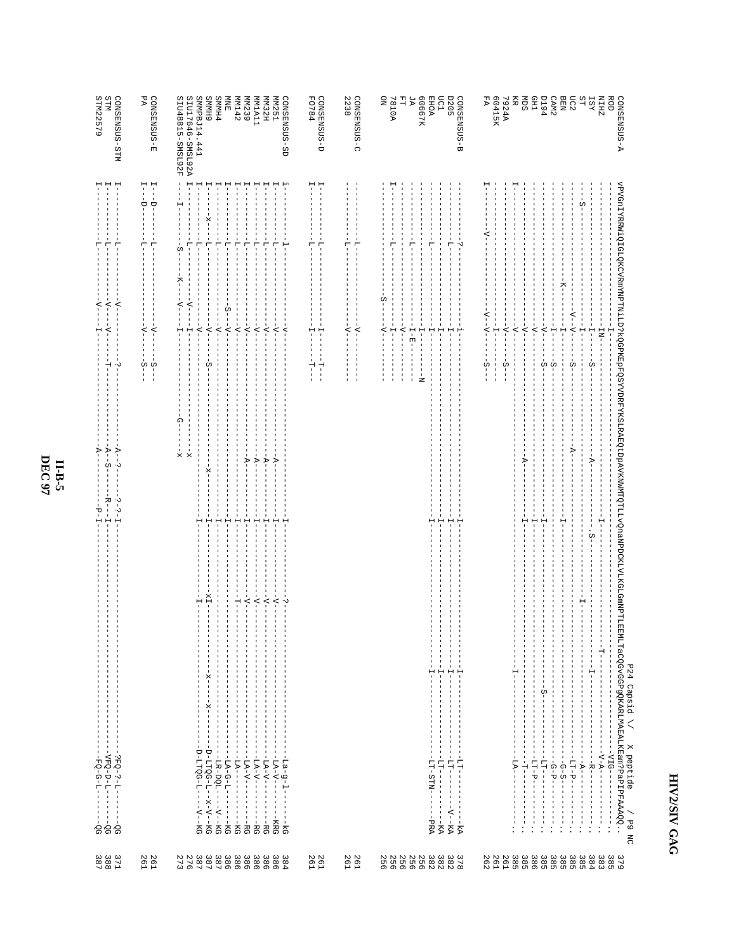|             | $-EQ-G-L--$<br>$- - - - 06$<br>-<br>$-90 -$                                                                                                                                                                                                                                                                                                                                              | $-R$ - $-T$ -<br>۲J | $-4-$<br>⋗                                | I<br>부                                                          | $\overline{z}$<br>H                                                | $-1$<br>부                                                     | STM22579                                                        |
|-------------|------------------------------------------------------------------------------------------------------------------------------------------------------------------------------------------------------------------------------------------------------------------------------------------------------------------------------------------------------------------------------------------|---------------------|-------------------------------------------|-----------------------------------------------------------------|--------------------------------------------------------------------|---------------------------------------------------------------|-----------------------------------------------------------------|
|             | $-1 - 7 - 3 - 5 - 7 - 7$<br>$\mathbf{I}$<br>$-90 -$                                                                                                                                                                                                                                                                                                                                      | $-1 - 2 - 1 -$      | $-4-$<br>S<br>٠.                          | $\overline{1}$<br>$\frac{1}{1}$                                 | $-4-$<br>$-\Delta$ -<br>$-\Delta$ -                                | $\mathrel{\mathop{\mapsto}\,}$<br>$\mathbf{H}$<br>Ţ<br>Ė      | CONSENSUS-STM<br>STM                                            |
|             |                                                                                                                                                                                                                                                                                                                                                                                          |                     |                                           | $-4-$<br>$-4-$<br>п<br>п<br>က်ု<br>$\frac{5}{1}$                |                                                                    | $L=-D-$<br>$I - -D -$<br>÷<br>Ĥ                               | PA<br>GONSENSUS-E                                               |
|             | $-1x$<br>÷<br>J<br>$-2x$<br>$\overline{\phantom{a}}$<br>п<br>$-3x -$<br>$\mathbf{I}$<br>j.<br>J.<br>--D-LTQG-L-x-V-KG<br>-D-LTQG-L------KG                                                                                                                                                                                                                                               | 부                   | ဂု<br>$\frac{1}{2}$<br>$\frac{1}{2}$<br>× | $-4-$<br>$-\lambda$ -<br>Ĥ<br>H<br>п<br>š-                      | K-<br>$-\Delta$ -<br>$-\Delta$ -<br>$\begin{array}{c} \end{array}$ | J<br>J.<br>$\mathsf{H}$<br>$-X -$<br>$-1$<br>п<br>÷<br>부<br>Ω | SMMPBJ14.441<br>SIU17646-SMSL92A<br>6 HIMMS<br>SIU48815-SMSL92F |
|             | $\blacksquare$<br>$\blacksquare$<br>$\mathbb I$<br>$\mathbf{I}$<br>1<br>-<br>п<br>1<br>j.<br>$-1.4-{\bf G}-{\bf L}-----{\bf K}{\bf G}$<br>$-LR-DQL$<br>$- -V - KG$                                                                                                                                                                                                                       | 부                   |                                           | $-4-$<br>л                                                      | $S -$                                                              | 루<br>$\mathbf{I}$<br>부                                        | <b>PHMMS</b><br><b>NINE</b>                                     |
|             | 로<br>1<br>$\mathbf{I}$<br>1<br>$\mathbf{I}$<br>1<br>$- - - - - - - - - - - -$<br>$---KG$                                                                                                                                                                                                                                                                                                 | H<br>٢              |                                           | $-\Delta$ -                                                     | $-\Delta$ -                                                        | ı<br>$-1$                                                     | MM142                                                           |
|             | $-\Delta$ -<br>л.<br>$-1 - \Delta - \Delta - -$<br>$-1 - 2 - 4 - 7 -$<br>ł.<br>$\frac{1}{1}$<br>$\mathbb I$<br>$---BC$<br>-----RG                                                                                                                                                                                                                                                        | 부<br>H              | $-\Delta -$<br>$-V -$                     | $-4-$<br>$-4-$                                                  |                                                                    | J<br>÷<br>부                                                   | MM239<br><b>MM1A11</b>                                          |
|             | $-1 - 1 -$<br>$-\Delta$ -<br>Ť<br>I<br>ı<br>ł<br>$\frac{1}{1}$<br>$\frac{1}{1}$                                                                                                                                                                                                                                                                                                          | H                   | $-A-$                                     | $-4-$                                                           |                                                                    | ÷                                                             | <b>MIN32H</b>                                                   |
| $rac{1}{6}$ | $\overline{\phantom{a}}$<br>٠.<br>$  \rm L.A - V  -$<br>$-I = -1$<br>$\overline{\phantom{a}}$<br>j.<br>$\overline{1}$<br>п<br>-KRG                                                                                                                                                                                                                                                       | 부                   | $-V -$                                    | $-4-$<br>4                                                      |                                                                    | $\frac{1}{1}$                                                 | <b>MM251</b><br>GONSENSUS-SD                                    |
|             |                                                                                                                                                                                                                                                                                                                                                                                          |                     |                                           | H<br>H<br>Τ.<br>Τ.<br>$\frac{1}{1}$<br>Ŕ                        |                                                                    | н<br>Ė<br>٣                                                   | CONSENSUS-D<br>FO784                                            |
|             |                                                                                                                                                                                                                                                                                                                                                                                          |                     |                                           | $\overline{\phantom{a}}^+$<br>$\overline{\phantom{a}}^{\prime}$ |                                                                    | Ļ<br>부                                                        | 2238<br>CONSENSUS-C                                             |
|             |                                                                                                                                                                                                                                                                                                                                                                                          |                     |                                           | $-4-$                                                           | S                                                                  |                                                               | g                                                               |
|             |                                                                                                                                                                                                                                                                                                                                                                                          |                     |                                           | $-1$                                                            |                                                                    | Ė                                                             | <b>A0187</b>                                                    |
|             |                                                                                                                                                                                                                                                                                                                                                                                          |                     |                                           | $-4-$<br>$-E-E$<br>$\overline{1}$<br>I<br>п<br>п                |                                                                    | ÷<br>п                                                        | ЯZ<br>긥                                                         |
|             |                                                                                                                                                                                                                                                                                                                                                                                          |                     |                                           | $-1$<br>ż                                                       |                                                                    |                                                               | 80667K                                                          |
| PRA.        | H<br>$-11-21N-1$<br>$\mathbf{I}$<br>Ť.                                                                                                                                                                                                                                                                                                                                                   | ٢                   |                                           | $\frac{1}{1}$                                                   |                                                                    | ÷                                                             | <b>EHOA</b>                                                     |
|             | $-1 -$<br>$-1$<br>H<br>1<br>$\mathbf{I}$<br>$-111 - 11$<br>$-17 - 17$<br>J.<br>$\frac{1}{1}$<br>$\mathsf I$<br>$- - \mathrm{V} - - \mathrm{K} \mathrm{A}$<br>1<br>$\overline{\phantom{a}}$<br>$- - - KA$<br>$\mathbf{I}$<br>$-$ kA                                                                                                                                                       | 부<br>Ļ              |                                           | Ť<br>Ť<br>$-1$                                                  |                                                                    | ÷<br>$\mathbf{I}$<br>ن.<br>$\mathbf{I}$<br>$\mathbb{I}$       | <b>D205</b><br><b>DC1</b><br>GONSENSUS-B                        |
|             |                                                                                                                                                                                                                                                                                                                                                                                          |                     |                                           | $\frac{1}{1}$<br>$\mathbf{I}$<br>л<br>ς-                        | $V - V -$                                                          | ₹                                                             | FA<br>60415K                                                    |
|             |                                                                                                                                                                                                                                                                                                                                                                                          |                     |                                           | $-\Delta$ -<br>I<br>$\mathbf{I}$<br>$\frac{5}{1}$<br>I.         |                                                                    |                                                               | <b>7924A</b>                                                    |
|             | л<br>J<br>$-1$<br>$\begin{array}{c} \hline \end{array}$<br>$\mathbf{I}$<br>т<br>J<br>Ţ.<br>Ţ<br>J.<br>$\mathbf{I}$<br>$\mathbf{I}$<br>J<br>$\blacksquare$<br>л<br>J<br>$\blacksquare$<br>$\mathbb I$<br>$-14 - -12 - 1$<br>$-1$ $-1$ $-1$ $-1$<br>$\frac{1}{1}$<br>Ţ<br>$\frac{1}{4}$<br>Ť.<br>$\begin{array}{c} \end{array}$<br>т<br>$\frac{1}{2}$<br>$\mathbf{I}$<br>$\mathsf I$<br>Ť. | 부                   | A-                                        | $-1$ <sup>-</sup><br>J.                                         |                                                                    |                                                               | SЩ<br>Ř                                                         |
|             | $\begin{array}{c} \hline \end{array}$<br>Ţ<br>1<br>$\blacksquare$<br>$-1 - 1 - 1 - 1 - 1 - 1 - 1$<br>$\frac{1}{4}$<br>$\mathsf I$<br>ı<br>$\frac{1}{2}$                                                                                                                                                                                                                                  | Ĥ                   |                                           | $-2 - 1$<br>$-4-$                                               |                                                                    |                                                               | <b>CHD</b>                                                      |
|             | $\overline{\phantom{a}}$<br>J.<br>$\mathbf{I}$<br>j.<br>Î<br>$S -$<br>J.<br>$\mathbf{I}$<br>$\mathbf{I}$<br>$\begin{array}{c} \rule{0.2cm}{0.15mm} \end{array}$<br>$\overline{\phantom{a}}$<br>j.<br>$-171-$<br>J<br>$\overline{\phantom{a}}$<br>$\overline{\phantom{a}}$<br>Ť.<br>$\overline{\phantom{a}}$<br>$\begin{array}{c} \n\vdots \\ \vdots \\ \vdots\n\end{array}$              | 부                   |                                           | $-4$<br>$\overline{1}$<br>п<br>$\overline{1}$<br>$\frac{5}{1}$  |                                                                    |                                                               | <b>P6Td</b>                                                     |
|             | $-4 - 9 -$<br>$\begin{array}{c} \n\vdots \\ \vdots \\ \vdots\n\end{array}$                                                                                                                                                                                                                                                                                                               |                     |                                           | Ĥ<br>$\frac{5}{1}$                                              |                                                                    |                                                               | CAM <sub>2</sub>                                                |
|             | $\mathsf I$<br>$\mathbf{I}$<br>Ţ<br>$-G-S-$<br>$\mathbb{I}$<br>$\begin{array}{c} \frac{1}{2} \\ \frac{1}{2} \end{array}$<br>$\frac{1}{2}$                                                                                                                                                                                                                                                |                     | $-4-$                                     | ġ-                                                              | $-\Delta - -1$                                                     |                                                               | DC2<br><b>NHH</b>                                               |
|             | $\mathbf{I}$<br>1<br>$\mathbb I$<br>Ť<br>$- - \mathbf{A} - -$<br>$\frac{1}{1}$<br>$\frac{1}{2}$                                                                                                                                                                                                                                                                                          |                     |                                           | Ţ                                                               |                                                                    | ÜΩ                                                            | ΩŢ                                                              |
|             | $\frac{1}{1}$<br>$\mathbf I$<br>$-1$ $-1$<br>$\mathbf{I}$<br>$\mathsf I$<br>$\mathbf{I}$<br>$- -$ B $ -$<br>$\mathsf I$<br>$\frac{1}{2}$                                                                                                                                                                                                                                                 | $\ddot{\circ}$      | $\frac{1}{2}$                             | $-1$<br>$\frac{5}{1}$                                           |                                                                    |                                                               | $X S\mathbb{I}$                                                 |
|             | $-\Lambda-\Delta=-$<br>-<br>-<br>Ţ<br>$\frac{1}{2}$                                                                                                                                                                                                                                                                                                                                      |                     |                                           | $-17$                                                           |                                                                    |                                                               | <b>ZHIN</b>                                                     |
|             | $-2I\Omega$ -<br>$\frac{1}{1}$<br>Ť                                                                                                                                                                                                                                                                                                                                                      |                     |                                           |                                                                 |                                                                    |                                                               | <b>ROD</b>                                                      |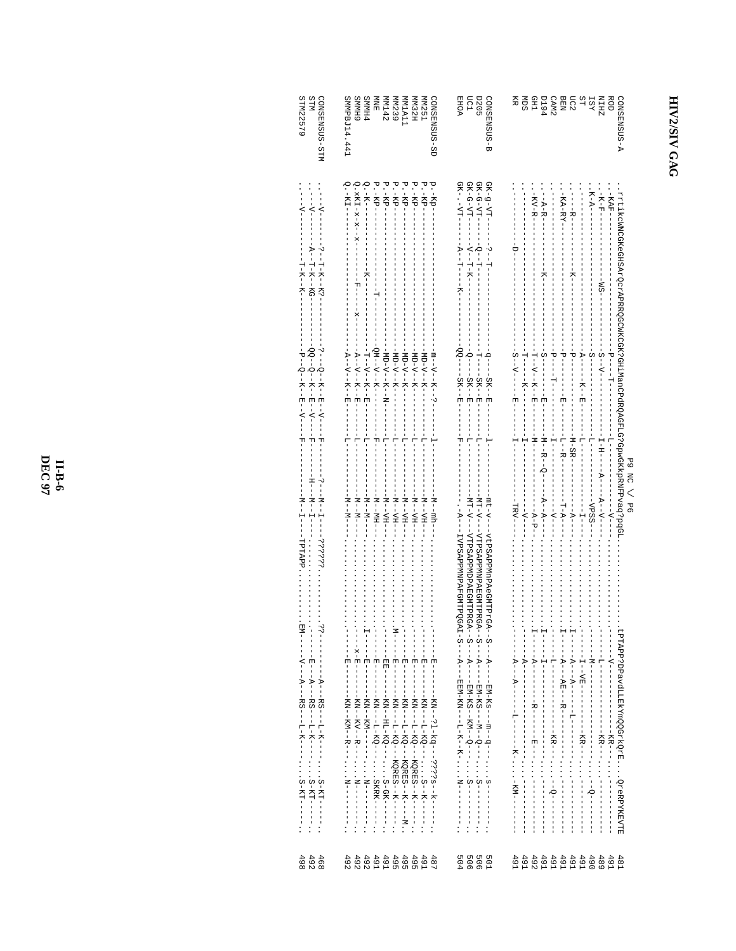| 59       |
|----------|
| 봉        |
|          |
| P6<br>í. |

| <b>NLLS</b><br>STM22579<br>CONSERISCIS-STM                                                                                                           | <b>GHMMS</b><br><b>PHMMS</b><br>GONSENSUS-SD<br>SMMPBJ14.441<br>HZ SMN<br><b>MM251</b><br><b>NTNE</b><br>MM1A11<br>MM239<br>MM142                                                                                                                                                                   | $\begin{array}{l} 0.2 \\ 0.2 \\ 0.01 \\ \end{array}$ EHOA<br>SUSENZEN-B                                                                                                                                                                                   | NHE SAN<br>PESSE SANCE<br>PESSE SANCELLE<br>PELL SANCELLE<br>Ř<br>ROD<br>ŠЩ<br>A-SUSMERNOS                                                                                                                                                                                                                                 |
|------------------------------------------------------------------------------------------------------------------------------------------------------|-----------------------------------------------------------------------------------------------------------------------------------------------------------------------------------------------------------------------------------------------------------------------------------------------------|-----------------------------------------------------------------------------------------------------------------------------------------------------------------------------------------------------------------------------------------------------------|----------------------------------------------------------------------------------------------------------------------------------------------------------------------------------------------------------------------------------------------------------------------------------------------------------------------------|
| $-1 - 1 - 1 - 1$<br>$-1 - 1 - - -$<br>-- -- -- H-K--<br>$A--T--KG--KG-$<br>-<br>1-<br>H-<br>H-<br>H-<br>H-<br>H-<br>H-<br>H-<br><br><br><br><br><br> | $Q - K I = - -$<br>Q . $xK\overline{L} - x - x - x - - - - - - - - - - - - - - - -$<br>$Q - K - K -$<br>P. - KP------<br>P. -KP--<br>P. -KP--<br>P.-KP-<br>P.-KP-<br>P.-KP--<br>p.-Kp-                                                                                                              | $\begin{array}{l} \mathrm{G}\mathrm{K}-\mathrm{g}-\mathrm{V}\mathrm{T}-1\\ \mathrm{G}\mathrm{K}-\mathrm{G}-\mathrm{V}\mathrm{T}-1\\ \mathrm{G}\mathrm{K}-\mathrm{G}-\mathrm{V}\mathrm{T}-1 \end{array}$<br>$GK - TT - T$<br>- - - A - - T - - - - K - - - | $-K - A - -$<br>$-KA-RY-$<br>$-75 - 77 - 1 - 1 - 1$<br>rrtikoWNCGKeGHSArQcrAPRRQGCWKCGK?GHiManCPdRQAGFLG?GpwGKkpRNFPvaq?pq?p.<br>$-KAP$ –<br>$-$ KV $-$ R-<br>$      -$<br>$- - MS - -$                                                                                                                                    |
| $-3-(-6-+K-+B-+K---+K---$<br>$-P - -R - -K - -E - -V - -$                                                                                            | $-QM - V - K - - - - - - - -$<br>- - A - - V - - K - - H - - - -<br>- TT- - V - - K - - H - - - -<br>$-20 - 5 - 5 - 5 - 1$<br>$-1$<br>$-2I - 5I - 5I - 1$<br>- A - - V - - K - - H - - - -<br>$-2I - 2I - 2I - 2I$<br>- m – – V – – K – – v – – – –<br>$-2$<br>$-1$<br>$-1$<br>$-1$<br>$-1$<br>$-1$ |                                                                                                                                                                                                                                                           | $- - - - - - -$<br>- - - ヤ - - - - - - - - - H H - -<br>- - - A - - - - - - K - - E - -<br>- T- - V - - K - - E - - - -<br>$-5$ -V-----E                                                                                                                                                                                   |
| $-H$ - $       -$<br>- M - - H - - - - H H H H H                                                                                                     | $-1 - 1 - 1$<br>$-1$ + $-1$<br>$-1$ $-1$ $-1$<br>ーー<br>$-1$ $-1$ $-1$<br>$\frac{1}{1}$<br>$\frac{1}{7}$<br>$-1$ - $-1$ - $-1$<br>- - M - - M - - -<br>$-1$ - H <sub>1</sub> - - H <sub>1</sub> - - -<br>$-1$ N $-1$<br>- M--YH---<br>- HA--N-                                                       | $-1 - 1 - -1 - -1$<br>-- 14 --<br>$-1 - 1 -$<br>- - MT-V- - - VTPSAP PMNPAE GMTPRGA<br>- MT-V----VTPSAPPMDPAEGMTPRGA-<br>-mt-v---vtPSAPPMnPAeGMTPrGA                                                                                                      | $-1 - 2B - 2B - 1$<br>- - N- - B- - O- - -<br>$-1 - 1$<br>--VPSS---<br>$-1 - 1 - 1$<br>$---A-P$ - - - -<br>.                                                                                                                                                                                                               |
| —<br>∣<br>J,<br>- - A - - - F S - - - L - K - - - - S - K T - - - - -                                                                                | ローーーー 田ーーー<br>- 변<br>- - -<br>$\frac{1}{\sqrt{2}}$<br>$-$ H $-$                                                                                                                                                                                                                                     | - - 2 - - - A - - - - EM - Ks - - - m - - q - - - s - - - - - - - - .<br>- - 2 - - - A - - - - EM - KS - - M - - C - - S - - - - - - - - - .<br>- - S - - - A - - - - EM - KS - - M - C - - S - - - - - - - -                                             | <b>LPTAPP?DPavdLLEKYmQQGrkQrEQreRPYKEVTE</b><br>$-1$ - $-1$ - $-1$ - $-1$<br>$- - - - - - - -$<br>$\begin{array}{c} \n\cdot & \cdot \\ \n\cdot & \cdot \\ \n\cdot & \cdot \n\end{array}$<br>$\frac{1}{1}$<br>$\frac{1}{2}$ : $\frac{1}{2}$ : $\frac{1}{2}$ : $\frac{1}{2}$ : $\frac{1}{2}$ : $\frac{1}{2}$ : $\frac{1}{2}$ |
| 4 4 9 9<br>4 9 9<br>8 9 9                                                                                                                            | 492<br>4 4 4 4 4 4 4 4<br>9 9 9 9 9 9 9<br>9 9 9 4 4 0 0<br>$487$<br>$491$                                                                                                                                                                                                                          | 50001<br>00001<br>0001                                                                                                                                                                                                                                    | 489<br>491<br>491<br>481                                                                                                                                                                                                                                                                                                   |